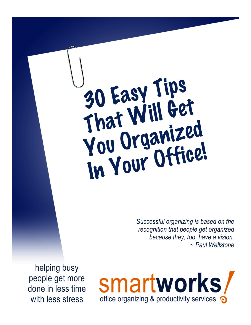30 Easy Tips<br>That Will Get You Organized<br>In Your Office!

> Successful organizing is based on the recognition that people get organized because they, too, have a vision. ~ Paul Wellstone

helping busy people get more done in less time with less stress

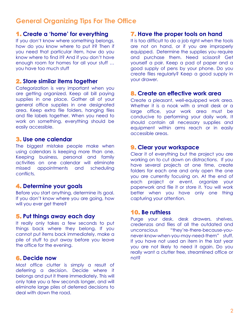# **General Organizing Tips For The Office**

## 1. **Create a 'home' for everything**

If you don't know where something belongs, how do you know where to put it? Then if you need that particular item, how do you know where to find it? And if you don't have enough room for homes for all your stuff … you have too much stuff

## 2. **Store similar items together**

Categorization is very important when you are getting organized. Keep all bill paying supplies in one place. Gather all of your general office supplies in one designated area. Keep extra file folders, hanging files and file labels together. When you need to work on something, everything should be easily accessible.

## 3. **Use one calendar**

The biggest mistake people make when using calendars is keeping more than one. Keeping business, personal and family activities on one calendar will eliminate missed appointments and scheduling conflicts.

## 4. **Determine your goals**

Before you start anything, determine its goal. If you don't know where you are going, how will you ever get there?

## 5. **Put things away each day**

It really only takes a few seconds to put things back where they belong. If you cannot put items back immediately, make a pile of stuff to put away before you leave the office for the evening.

## 6. **Decide now**

Most office clutter is simply a result of deferring a decision. Decide where it belongs and put it there immediately. This will only take you a few seconds longer, and will eliminate large piles of deferred decisions to deal with down the road.

## 7. **Have the proper tools on hand**

It is too difficult to do a job right when the tools are not on hand, or if you are improperly equipped. Determine the supplies you require and purchase them. Need scissors? Get yourself a pair. Keep a pad of paper and a good supply of pens by your phone. Do you create files regularly? Keep a good supply in your drawer.

## 8. **Create an effective work area**

Create a pleasant, well-equipped work area. Whether it is a nook with a small desk or a large office, your work area must be conducive to performing your daily work. It should contain all necessary supplies and equipment within arms reach or in easily accessible areas.

## 9. **Clear your workspace**

Clear it of everything but the project you are working on to cut down on distractions. If you have several projects at one time, create folders for each one and only open the one you are currently focusing on. At the end of each project or event, organize your paperwork and file it or store it. You will work better when you have only one thing capturing your attention.

## 10. **Be ruthless**

Purge your desk, desk drawers, shelves, credenzas and files of all the outdated and unconscious "they're-there-because-younever-know-when-you-may-need-them" stuff. If you have not used an item in the last year you are not likely to need it again. Do you really want a clutter free, streamlined office or not?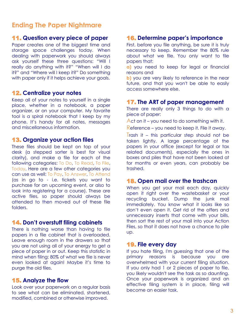## **Ending The Paper Nightmare**

## 11. **Question every piece of paper**

Paper creates one of the biggest time and storage space challenges today. When dealing with paperwork you should always ask yourself these three questions: "Will I really do anything with it?" "When will I do it?" and "Where will I keep it?" Do something with paper only if it helps achieve your goals.

#### 12. **Centralize your notes**

Keep all of your notes to yourself in a single place, whether in a notebook, a paper organizer, or on your computer. My favorite tool is a spiral notebook that I keep by my phone. It's handy for all notes, messages and miscellaneous information.

#### 13. **Organize your action files**

These files should be kept on top of your desk (a stepped sorter is best for visual clarity), and make a file for each of the following categories: To Do, To Read, To File, Today. Here are a few other categories you can use as well: To Pay, To Answer, To Attend (as in go to - i.e. tickets you want to purchase for an upcoming event, or also to look into registering for a course). These are active files, so paper should always be attended to then moved out of these file folders.

### 14. **Don't overstuff filing cabinets**

There is nothing worse than having to file papers in a file cabinet that is overloaded. Leave enough room in the drawers so that you are not using all of your energy to get a piece of paper in or out. Keep this statistic in mind when filing: 80% of what we file is never even looked at again! Maybe it's time to purge the old files.

## 15. **Analyze the flow**

Look over your paperwork on a regular basis to see what can be eliminated, shortened, modified, combined or otherwise improved.

#### 16. **Determine paper's importance**

First, before you file anything, be sure it is truly necessary to keep. Remember the 80% rule about what we file. You only want to file papers that:

**a)** you need to keep for legal or financial reasons and

**b)** you are very likely to reference in the near future, and that you won't be able to easily access somewhere else.

#### 17. **The ART of paper management**

There are really only 3 things to do with a piece of paper:

Act on it – you need to do something with it.

Reference – you need to keep it. File it away.

Trash it – this particular step should not be taken lightly. A large percentage of the papers in your office (except for legal or tax related documents), especially the ones in boxes and piles that have not been looked at for months or even years, can probably be trashed.

## 18. **Open mail over the trashcan**

When you get your mail each day, quickly open it right over the wastebasket or your recycling bucket. Dump the junk mail immediately. You know what it looks like so don't even open it. Get rid of the offers and unnecessary inserts that come with your bills, then sort the rest of your mail into your Action Files, so that it does not have a chance to pile up.

#### 19. **File every day**

If you hate filing, I'm guessing that one of the primary reasons is because you are overwhelmed with your current filing situation. If you only had 1 or 2 pieces of paper to file, you likely wouldn't see the task as so daunting. Once your paperwork is organized and an effective filing system is in place, filing will become an easier task.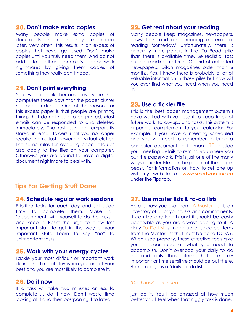#### 20. **Don't make extra copies**

Many people make extra copies of documents, just in case they are needed later. Very often, this results in an excess of copies that never get used. Don't make copies until you truly need them. And do not add to other people's paperwork nightmares by giving them copies of something they really don't need.

#### 21. **Don't print everything**

You would think because everyone has computers these days that the paper clutter has been reduced. One of the reasons for this excess paper is that people are printing things that do not need to be printed. Most emails can be responded to and deleted immediately. The rest can be temporarily stored in email folders until you no longer require them. Just beware of virtual clutter. The same rules for avoiding paper pile-ups also apply to the files on your computer. Otherwise you are bound to have a digital document nightmare to deal with.

## **Tips For Getting Stuff Done**

#### 24. **Schedule regular work sessions**

Prioritize tasks for each day and set aside time to complete them. Make an 'appointment' with yourself to do the tasks – and keep it. Resist the urge to allow less important stuff to get in the way of your important stuff. Learn to say "no" to unimportant tasks.

#### 25. **Work with your energy cycles**

Tackle your most difficult or important work during the time of day when you are at your best and you are most likely to complete it.

## 26. **Do it now**

If a task will take two minutes or less to complete … do it now! Don't waste time looking at it and then postponing it to later,

### 22. **Get real about your reading**

Many people keep magazines, newspapers, newsletters, and other reading material for reading 'someday.' Unfortunately, there is generally more papers in the 'To Read' pile than there is available time. Be realistic. Toss out old reading material. Get rid of outdated newspapers. Ditch magazines older than 6 months. Yes, I know there is probably a lot of valuable information in those piles but how will you ever find what you need when you need it?

#### 23. **Use a tickler file**

This is the best paper management system I have worked with yet. Use it to keep track of future work, follow-ups and tasks. This system is a perfect complement to your calendar. For example, if you have a meeting scheduled and you will need to remember to bring a particular document to it, mark 'TF' beside your meeting details to remind you where you put the paperwork. This is just one of the many ways a Tickler File can help control the paper beast. For information on how to set one up visit my website at www.smartworksinc.ca under the Tips tab.

### 27. **Use master lists & to-do lists**

Here is how you use them: A Master List is an inventory of all of your tasks and commitments. It can be any length and it should be easily accessible as you are always adding to it. A daily To Do List is made up of selected items from the Master List that must be done TODAY. When used properly, these effective tools give you a clear idea of what you need to accomplish. Don't overload your daily to do list, and only those items that are truly important or time sensitive should be put there. Remember, it is a 'daily' to do list.

#### *'Do it now' continued …*

just do it. You'll be amazed at how much better you'll feel when that niggly task is done.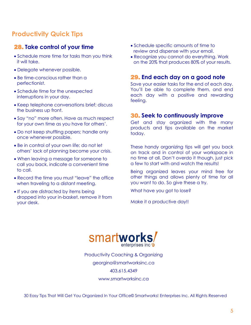# **Productivity Quick Tips**

## 28. **Take control of your time**

- Schedule more time for tasks than you think it will take.
- Delegate whenever possible.
- Be time-conscious rather than a perfectionist.
- Schedule time for the unexpected interruptions in your day.
- Keep telephone conversations brief; discuss the business up front.
- Say "no" more often. Have as much respect for your own time as you have for others'.
- Do not keep shuffling papers; handle only once whenever possible.
- Be in control of your own life; do not let others' lack of planning become your crisis.
- When leaving a message for someone to call you back, indicate a convenient time to call.
- Record the time you must "leave" the office when traveling to a distant meeting.
- If you are distracted by items being dropped into your in-basket, remove it from your desk.
- Schedule specific amounts of time to review and dispense with your email.
- Recognize you cannot do everything. Work on the 20% that produces 80% of your results.

## 29. **End each day on a good note**

Save your easier tasks for the end of each day. You'll be able to complete them, and end each day with a positive and rewarding feeling.

### 30. **Seek to continuously improve**

Get and stay organized with the many products and tips available on the market today.

These handy organizing tips will get you back on track and in control of your workspace in no time at all. Don't overdo it though, just pick a few to start with and watch the results!

Being organized leaves your mind free for other things and allows plenty of time for all you want to do. So give these a try.

What have you got to lose?

Make it a productive day!!



Productivity Coaching & Organizing georgina@smartworksinc.ca 403.615.4349

www.smartworksinc.ca

30 Easy Tips That Will Get You Organized In Your Office© Smartworks! Enterprises Inc. All Rights Reserved